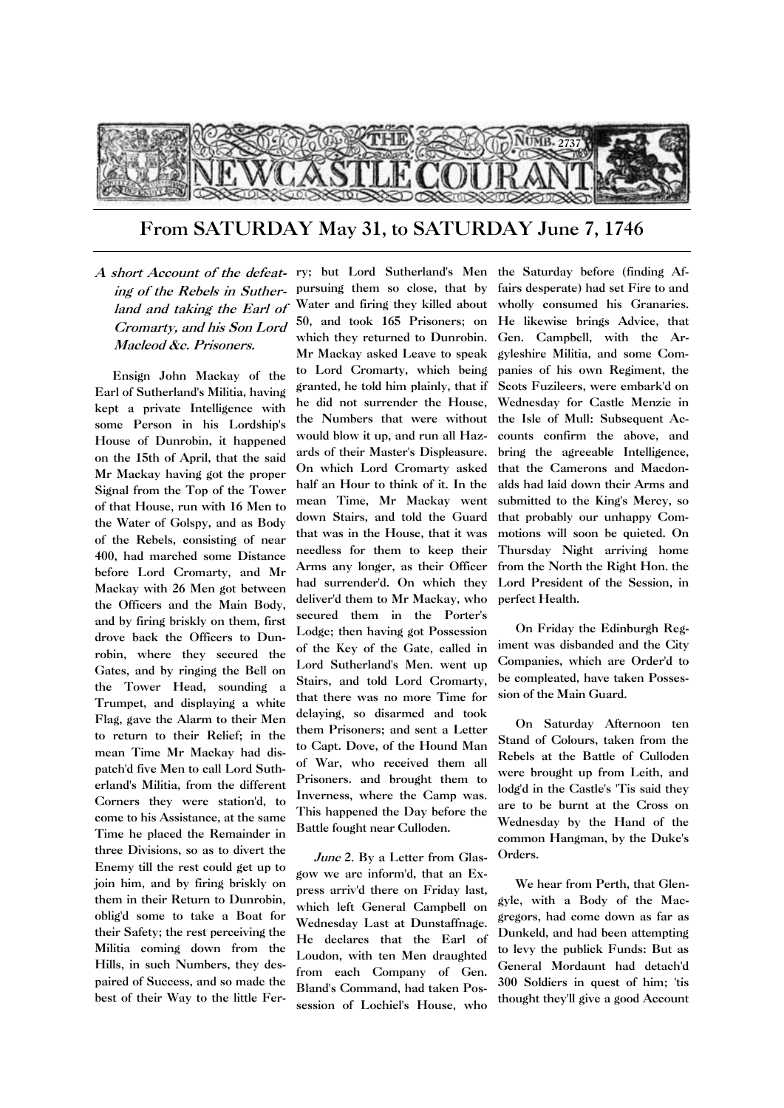

## From SATURDAY May 31, to SATURDAY June 7, 1746

ing of the Rebels in Sutherland and taking the Earl of Cromarty, and his Son Lord Macleod &c. Prisoners.

Ensign John Mackay of the Earl of Sutherland's Militia, having kept a private Intelligence with some Person in his Lordship's House of Dunrobin, it happened on the 15th of April, that the said Mr Mackay having got the proper Signal from the Top of the Tower of that House, run with 16 Men to the Water of Golspy, and as Body of the Rebels, consisting of near 400, had marched some Distance before Lord Cromarty, and Mr Mackay with 26 Men got between the Officers and the Main Body, and by firing briskly on them, first drove back the Officers to Dunrobin, where they secured the Gates, and by ringing the Bell on the Tower Head, sounding a Trumpet, and displaying a white Flag, gave the Alarm to their Men to return to their Relief; in the mean Time Mr Mackay had dispatch'd five Men to call Lord Sutherland's Militia, from the different Corners they were station'd, to come to his Assistance, at the same Time he placed the Remainder in three Divisions, so as to divert the Enemy till the rest could get up to join him, and by firing briskly on them in their Return to Dunrobin, oblig'd some to take a Boat for their Safety; the rest perceiving the Militia coming down from the Hills, in such Numbers, they despaired of Success, and so made the best of their Way to the little Fer-

A short Account of the defeat- ry; but Lord Sutherland's Men pursuing them so close, that by Water and firing they killed about 50, and took 165 Prisoners; on which they returned to Dunrobin. Mr Mackay asked Leave to speak to Lord Cromarty, which being granted, he told him plainly, that if he did not surrender the House, the Numbers that were without would blow it up, and run all Hazards of their Master's Displeasure. On which Lord Cromarty asked half an Hour to think of it. In the mean Time, Mr Mackay went down Stairs, and told the Guard that was in the House, that it was needless for them to keep their Arms any longer, as their Officer had surrender'd. On which they deliver'd them to Mr Mackay, who secured them in the Porter's Lodge; then having got Possession of the Key of the Gate, called in Lord Sutherland's Men. went up Stairs, and told Lord Cromarty, that there was no more Time for delaying, so disarmed and took them Prisoners; and sent a Letter to Capt. Dove, of the Hound Man of War, who received them all Prisoners. and brought them to Inverness, where the Camp was. This happened the Day before the Battle fought near Culloden.

> June 2. By a Letter from Glasgow we arc inform'd, that an Express arriv'd there on Friday last, which left General Campbell on Wednesday Last at Dunstaffnage. He declares that the Earl of Loudon, with ten Men draughted from each Company of Gen. Bland's Command, had taken Possession of Lochiel's House, who

the Saturday before (finding Affairs desperate) had set Fire to and wholly consumed his Granaries. He likewise brings Advice, that Gen. Campbell, with the Argyleshire Militia, and some Companies of his own Regiment, the Scots Fuzileers, were embark'd on Wednesday for Castle Menzie in the Isle of Mull: Subsequent Accounts confirm the above, and bring the agreeable Intelligence, that the Camerons and Macdonalds had laid down their Arms and submitted to the King's Mercy, so that probably our unhappy Commotions will soon be quieted. On Thursday Night arriving home from the North the Right Hon. the Lord President of the Session, in perfect Health.

On Friday the Edinburgh Regiment was disbanded and the City Companies, which are Order'd to be compleated, have taken Possession of the Main Guard.

On Saturday Afternoon ten Stand of Colours, taken from the Rebels at the Battle of Culloden were brought up from Leith, and lodg'd in the Castle's 'Tis said they are to be burnt at the Cross on Wednesday by the Hand of the common Hangman, by the Duke's Orders.

We hear from Perth, that Glengyle, with a Body of the Macgregors, had come down as far as Dunkeld, and had been attempting to levy the publick Funds: But as General Mordaunt had detach'd 300 Soldiers in quest of him; 'tis thought they'll give a good Account